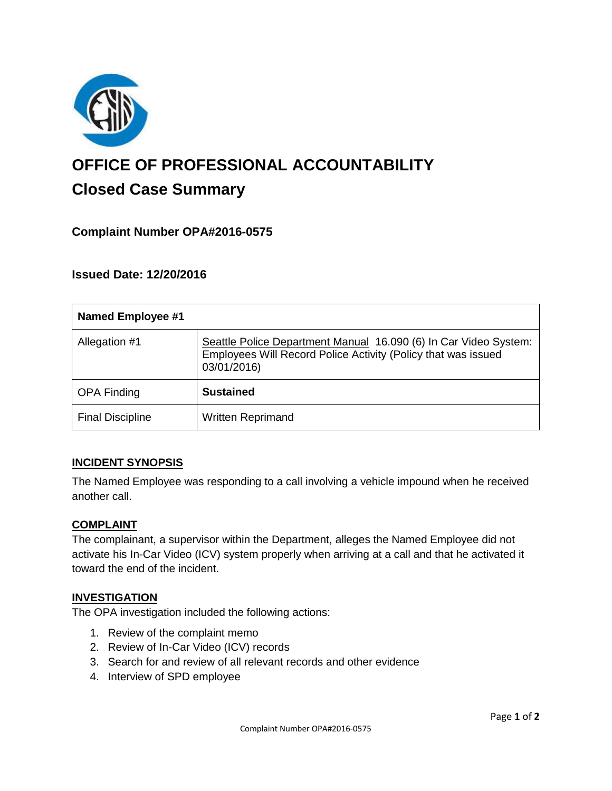

# **OFFICE OF PROFESSIONAL ACCOUNTABILITY Closed Case Summary**

# **Complaint Number OPA#2016-0575**

**Issued Date: 12/20/2016**

| <b>Named Employee #1</b> |                                                                                                                                                  |
|--------------------------|--------------------------------------------------------------------------------------------------------------------------------------------------|
| Allegation #1            | Seattle Police Department Manual 16.090 (6) In Car Video System:<br>Employees Will Record Police Activity (Policy that was issued<br>03/01/2016) |
| <b>OPA Finding</b>       | <b>Sustained</b>                                                                                                                                 |
| <b>Final Discipline</b>  | <b>Written Reprimand</b>                                                                                                                         |

#### **INCIDENT SYNOPSIS**

The Named Employee was responding to a call involving a vehicle impound when he received another call.

## **COMPLAINT**

The complainant, a supervisor within the Department, alleges the Named Employee did not activate his In-Car Video (ICV) system properly when arriving at a call and that he activated it toward the end of the incident.

#### **INVESTIGATION**

The OPA investigation included the following actions:

- 1. Review of the complaint memo
- 2. Review of In-Car Video (ICV) records
- 3. Search for and review of all relevant records and other evidence
- 4. Interview of SPD employee